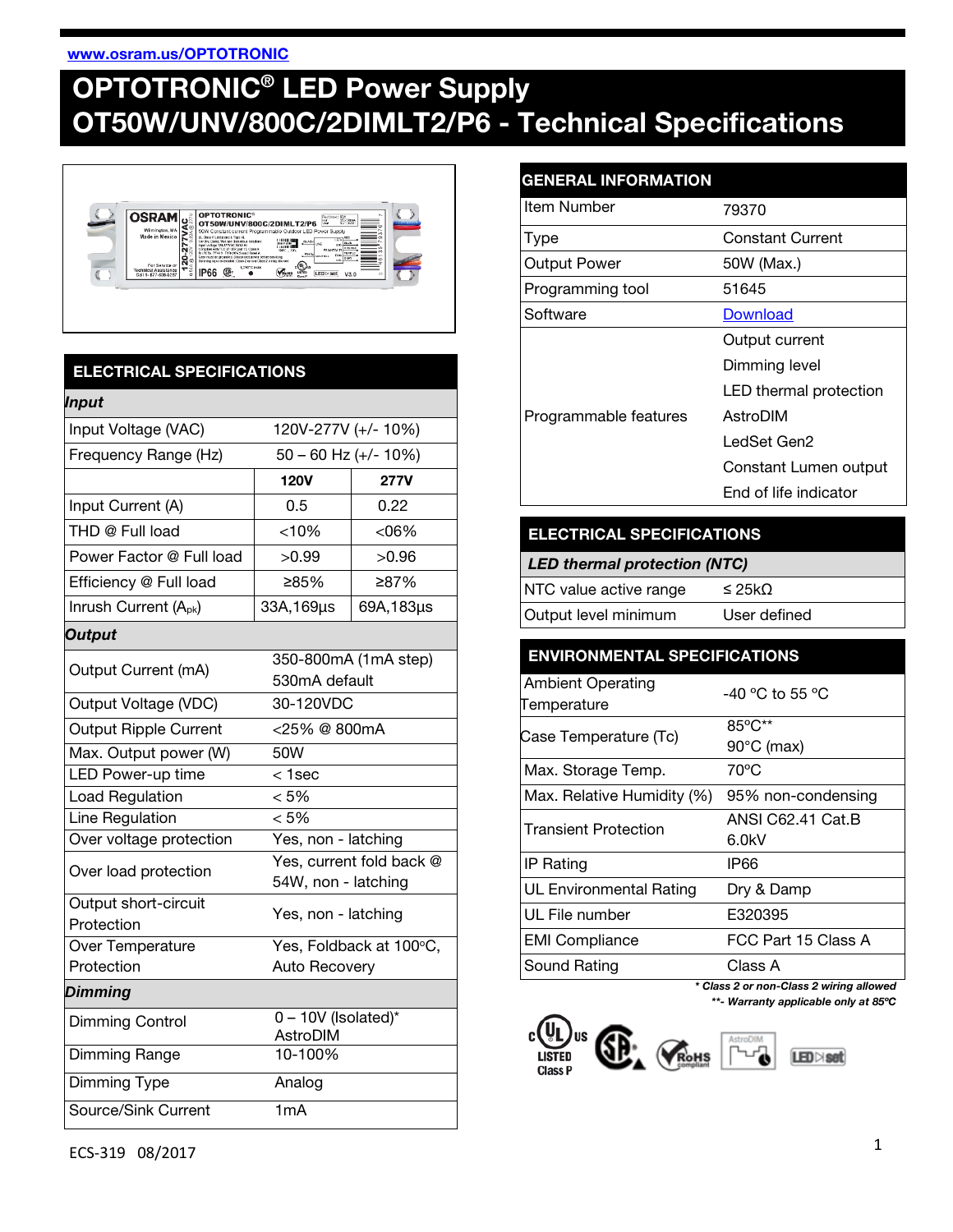#### [www.osram.us/OPTOTRONIC](http://www.osram.us/OPTOTRONIC)

# OPTOTRONIC® LED Power Supply OT50W/UNV/800C/2DIMLT2/P6 - Technical Specifications



# ELECTRICAL SPECIFICATIONS

| <b>Input</b>                       |                                                 |             |
|------------------------------------|-------------------------------------------------|-------------|
| Input Voltage (VAC)                | 120V-277V (+/- 10%)                             |             |
| Frequency Range (Hz)               | $50 - 60$ Hz (+/- 10%)                          |             |
|                                    | <b>120V</b>                                     | <b>277V</b> |
| Input Current (A)                  | 0.5                                             | 0.22        |
| THD @ Full load                    | < 10%                                           | $<06\%$     |
| Power Factor @ Full load           | >0.99                                           | >0.96       |
| Efficiency @ Full load             | 285%                                            | ≥87%        |
| Inrush Current (A <sub>pk</sub> )  | 33A, 169µs                                      | 69A,183µs   |
| Output                             |                                                 |             |
| Output Current (mA)                | 350-800mA (1mA step)<br>530mA default           |             |
| Output Voltage (VDC)               | 30-120VDC                                       |             |
| <b>Output Ripple Current</b>       | <25% @ 800mA                                    |             |
| Max. Output power (W)              | 50W                                             |             |
| <b>LED Power-up time</b>           | $1sec$                                          |             |
| Load Regulation                    | < 5%                                            |             |
| Line Regulation                    | < 5%                                            |             |
| Over voltage protection            | Yes, non - latching                             |             |
| Over load protection               | Yes, current fold back @<br>54W, non - latching |             |
| Output short-circuit<br>Protection | Yes, non - latching                             |             |
| Over Temperature                   | Yes, Foldback at 100°C,                         |             |
| Protection                         | <b>Auto Recovery</b>                            |             |
| Dimming                            |                                                 |             |
| <b>Dimming Control</b>             | $0 - 10V$ (Isolated)*<br>AstroDIM               |             |
| Dimming Range                      | 10-100%                                         |             |
| Dimming Type                       | Analog                                          |             |
| Source/Sink Current                | 1mA                                             |             |

# GENERAL INFORMATION

| <b>Item Number</b>    | 79370                   |
|-----------------------|-------------------------|
| Type                  | <b>Constant Current</b> |
| <b>Output Power</b>   | 50W (Max.)              |
| Programming tool      | 51645                   |
| Software              | Download                |
| Programmable features | Output current          |
|                       | Dimming level           |
|                       | LED thermal protection  |
|                       | AstroDIM                |
|                       | LedSet Gen2             |
|                       | Constant Lumen output   |
|                       | End of life indicator   |

## ELECTRICAL SPECIFICATIONS

| <b>LED thermal protection (NTC)</b> |              |  |
|-------------------------------------|--------------|--|
| NTC value active range              | $\leq$ 25kO  |  |
| Output level minimum                | User defined |  |

# ENVIRONMENTAL SPECIFICATIONS

| <b>Ambient Operating</b><br>Temperature | -40 °C to 55 °C      |
|-----------------------------------------|----------------------|
| Case Temperature (Tc)                   | 85°C**               |
|                                         | $90^{\circ}$ C (max) |
| Max. Storage Temp.                      | $70^{\circ}$ C       |
| Max. Relative Humidity (%)              | 95% non-condensing   |
| <b>Transient Protection</b>             | ANSI C62.41 Cat.B    |
|                                         | 6.0kV                |
| <b>IP Rating</b>                        | IP66                 |
| <b>UL Environmental Rating</b>          | Dry & Damp           |
| UL File number                          | E320395              |
| <b>EMI Compliance</b>                   | FCC Part 15 Class A  |
| Sound Rating                            | Class A              |

*\* Class 2 or non-Class 2 wiring allowed \*\*- Warranty applicable only at 85ºC*

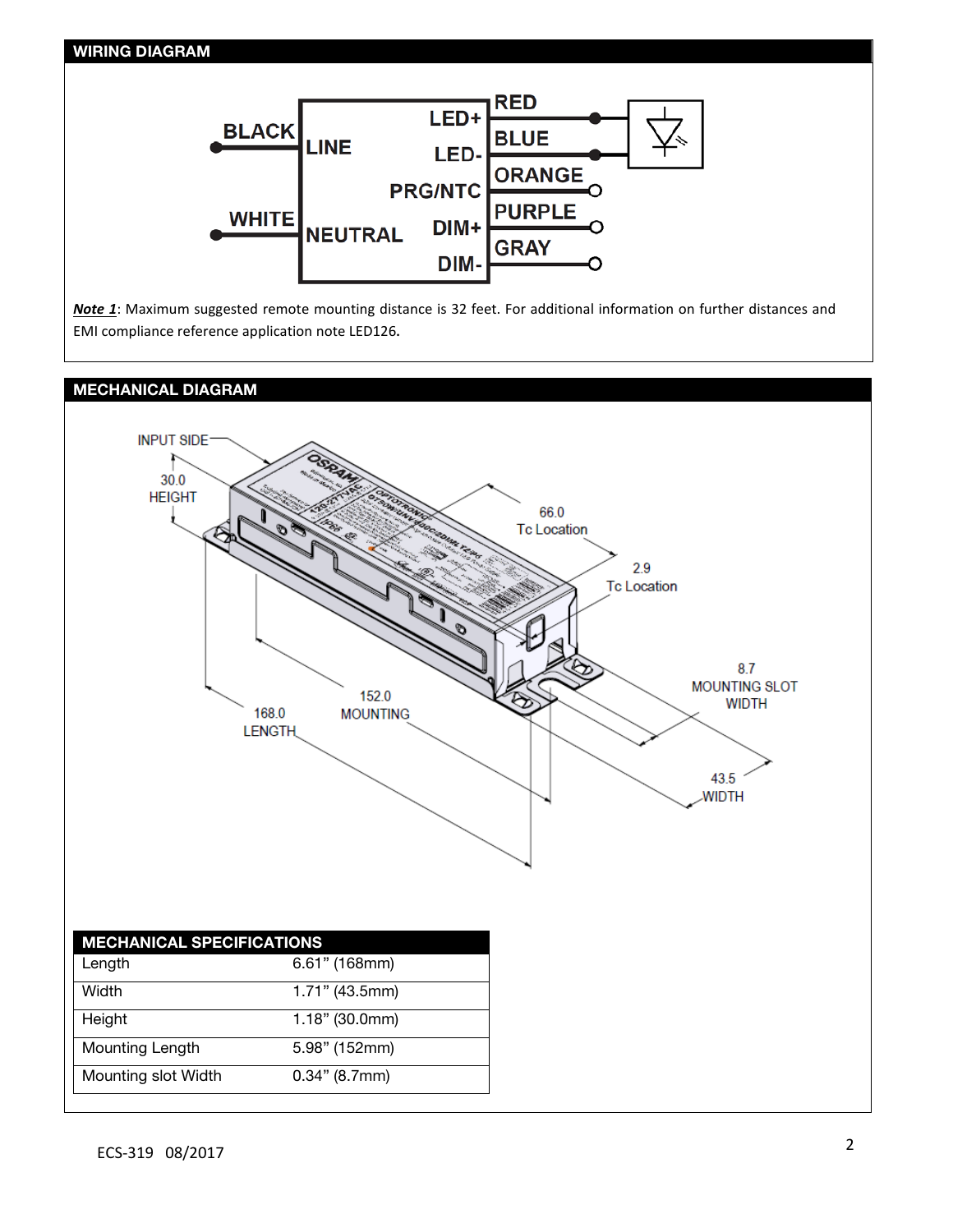## WIRING DIAGRAM



*Note 1*: Maximum suggested remote mounting distance is 32 feet. For additional information on further distances and EMI compliance reference application note LED126**.**

## MECHANICAL DIAGRAM

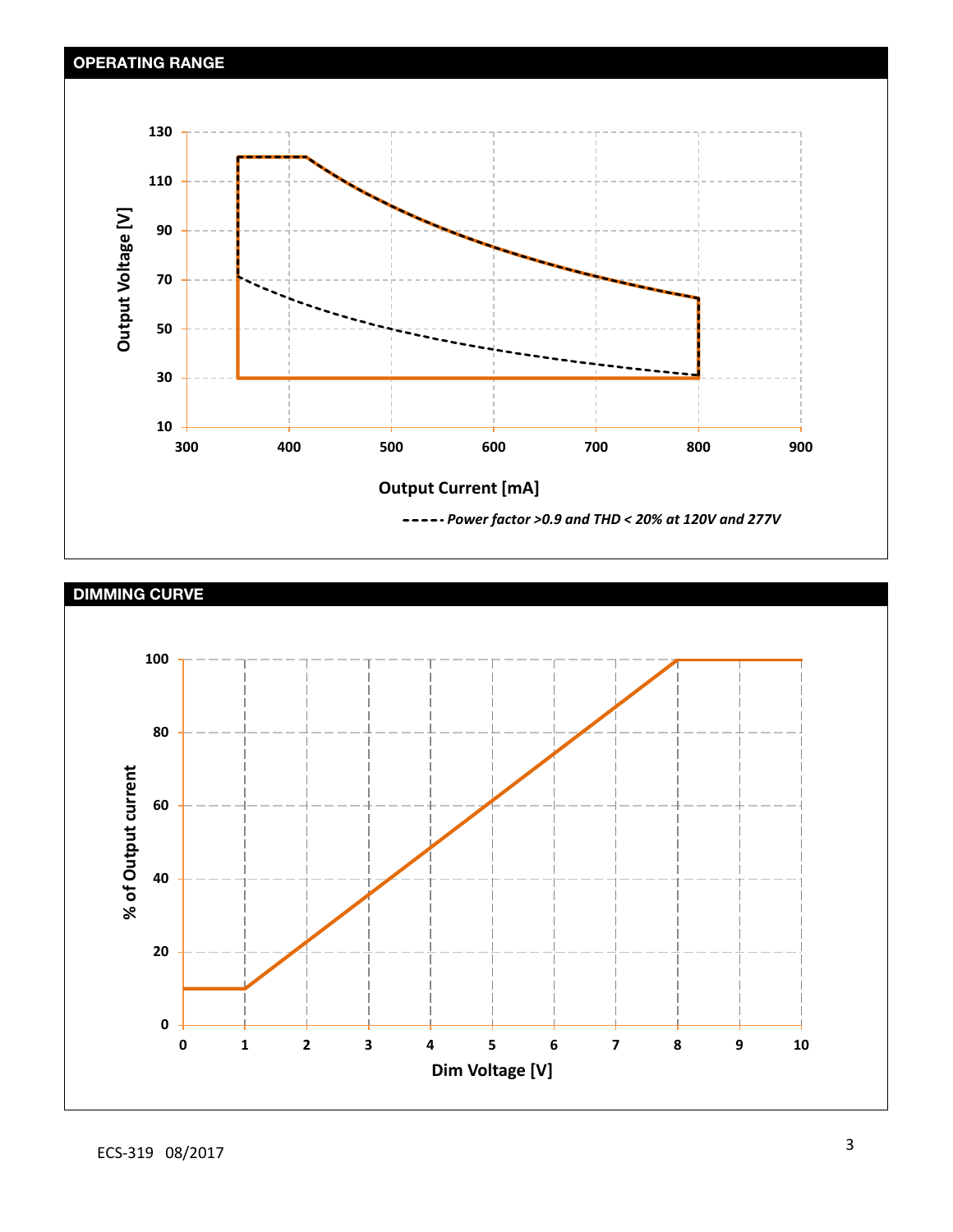

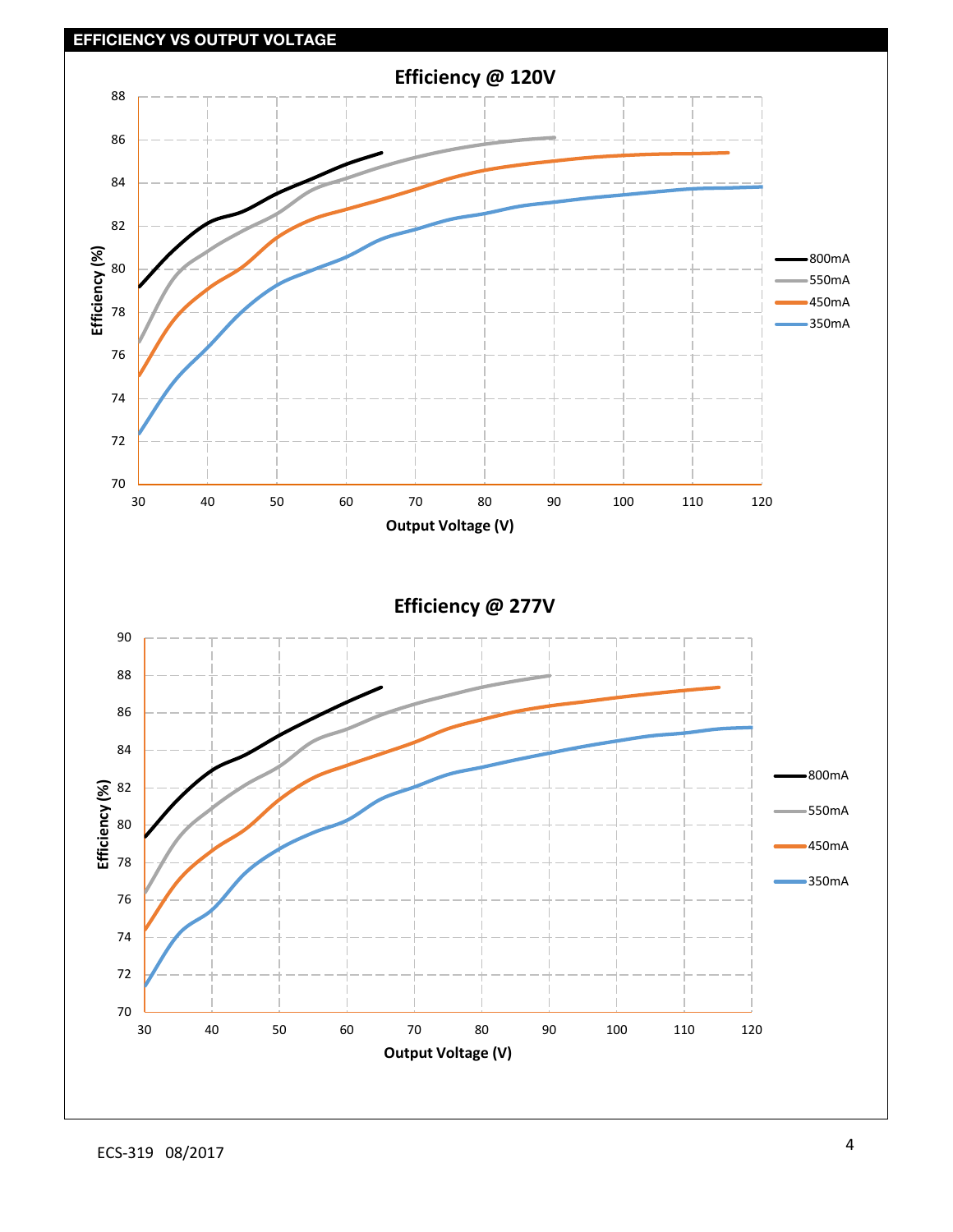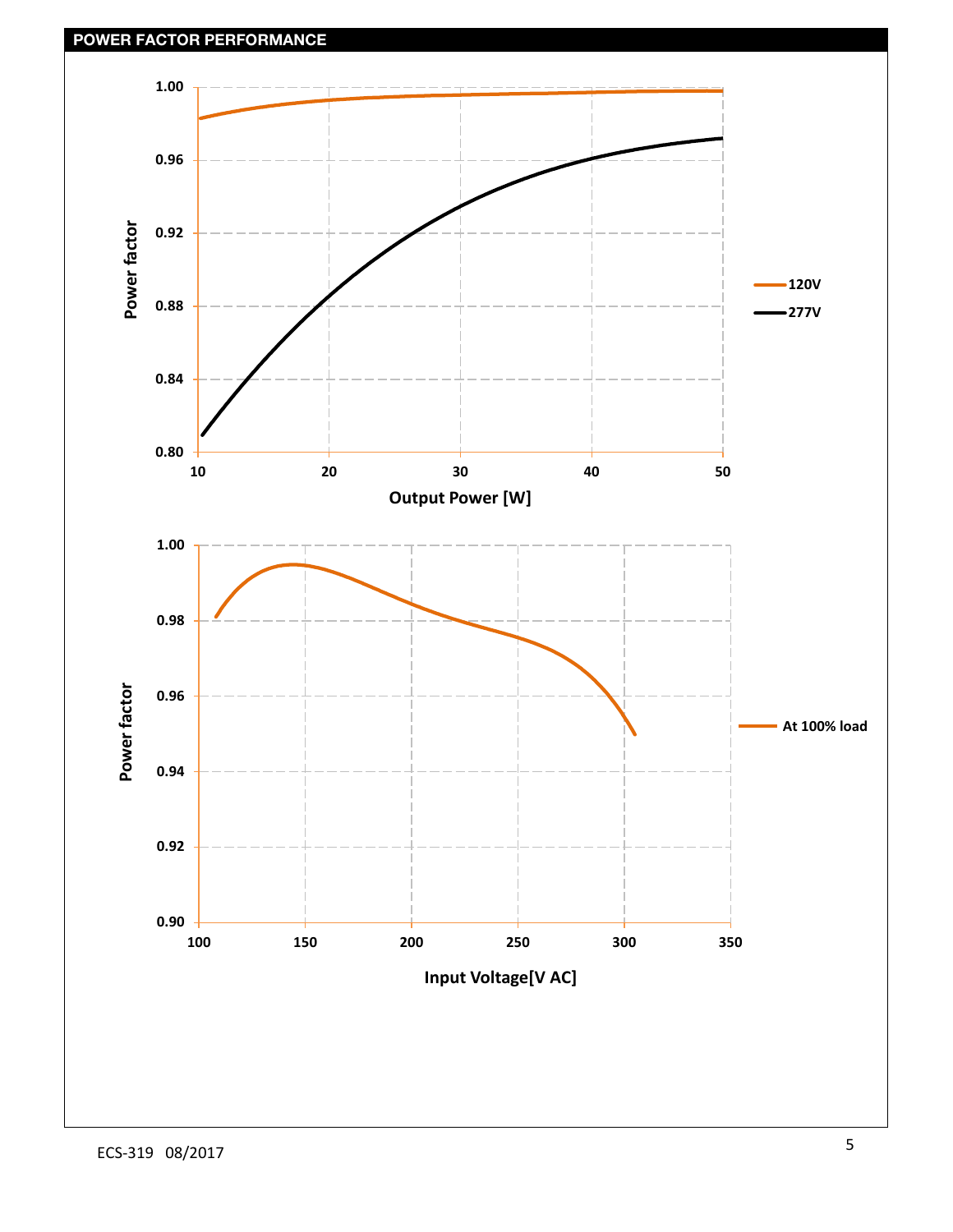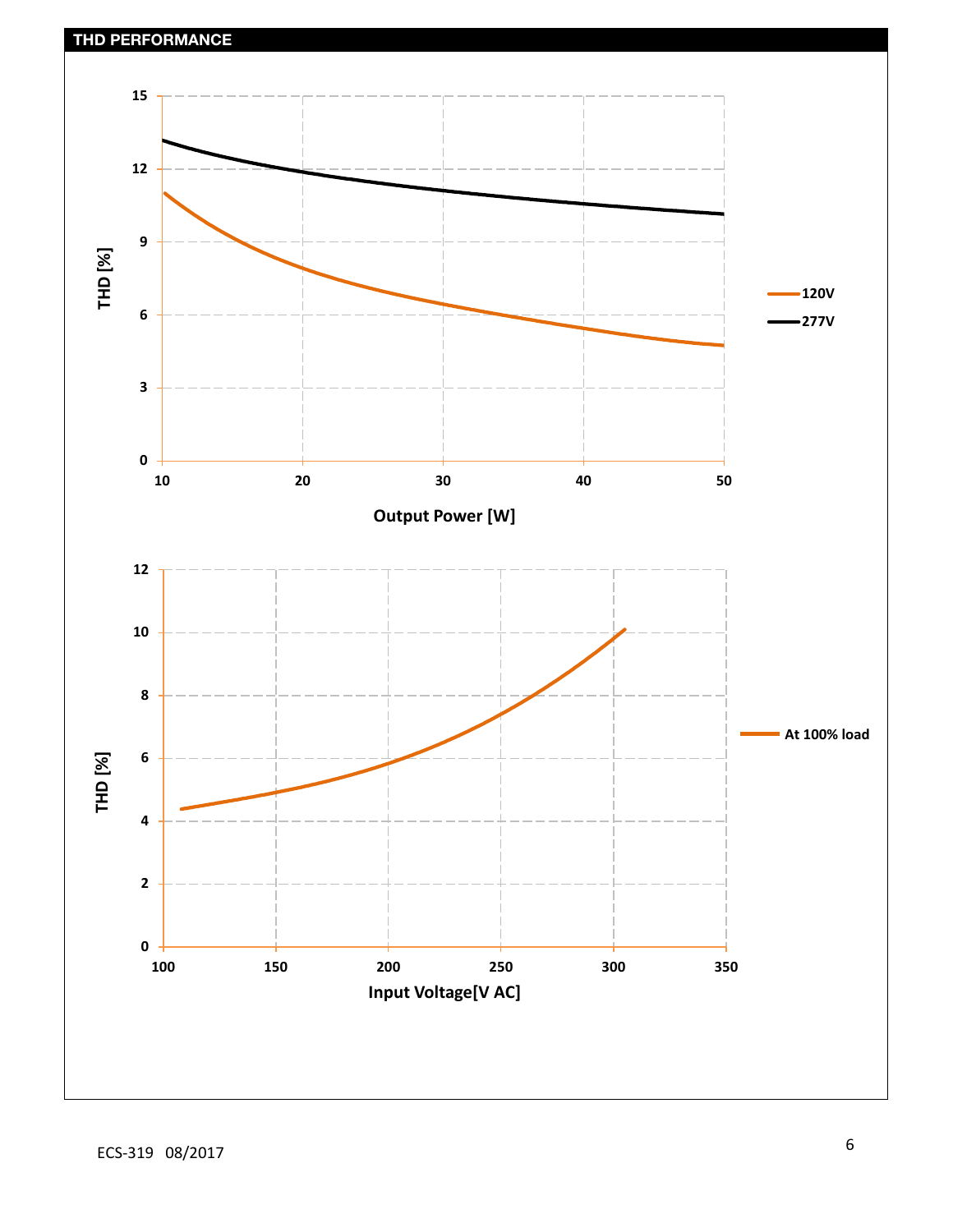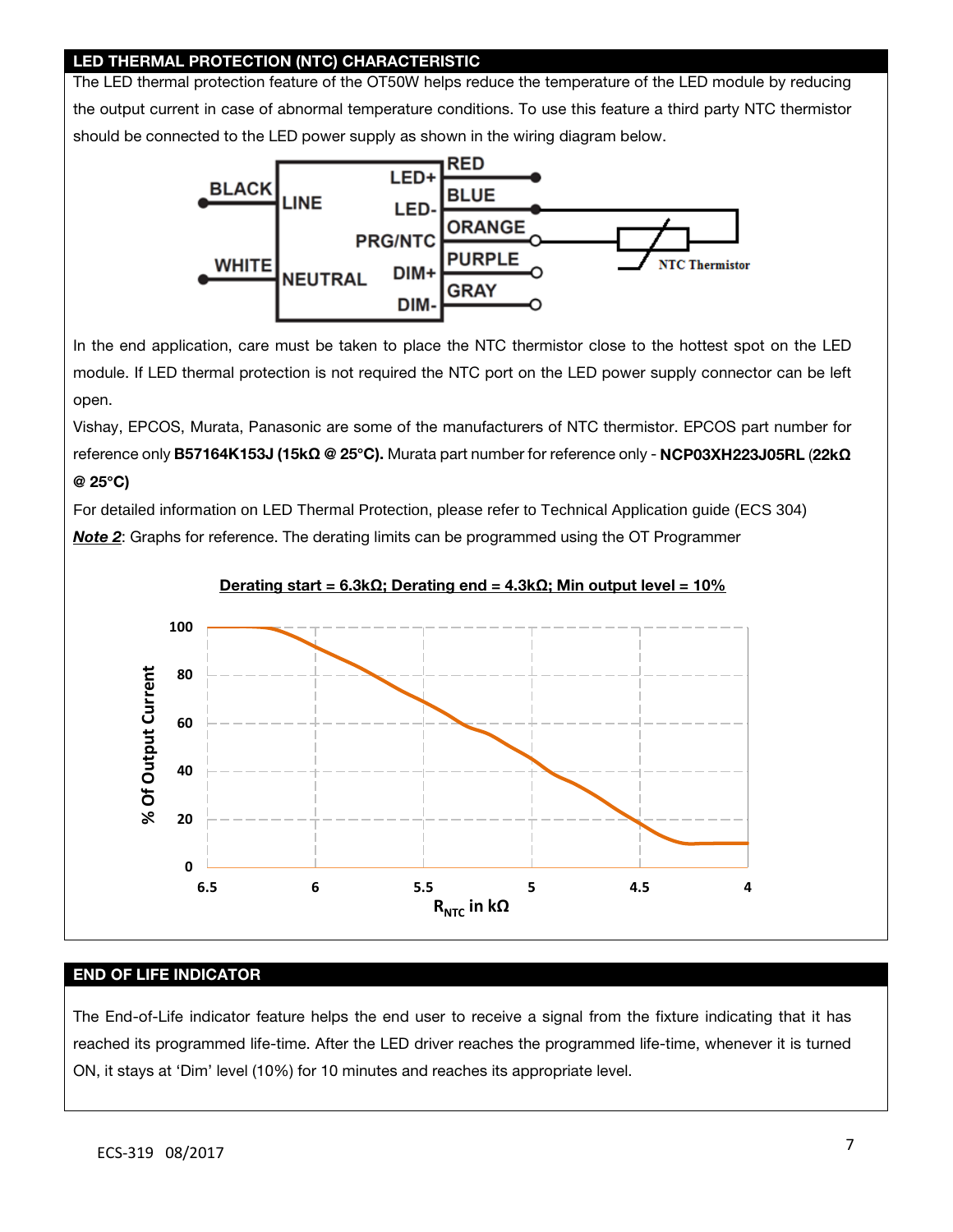## LED THERMAL PROTECTION (NTC) CHARACTERISTIC

The LED thermal protection feature of the OT50W helps reduce the temperature of the LED module by reducing the output current in case of abnormal temperature conditions. To use this feature a third party NTC thermistor should be connected to the LED power supply as shown in the wiring diagram below.



In the end application, care must be taken to place the NTC thermistor close to the hottest spot on the LED module. If LED thermal protection is not required the NTC port on the LED power supply connector can be left open.

Vishay, EPCOS, Murata, Panasonic are some of the manufacturers of NTC thermistor. EPCOS part number for reference only B57164K153J (15k**Ω** @ 25**°**C). Murata part number for reference only - NCP03XH223J05RL (22k**Ω** @ 25**°**C)

For detailed information on LED Thermal Protection, please refer to Technical Application guide (ECS 304) *Note 2*: Graphs for reference. The derating limits can be programmed using the OT Programmer





#### END OF LIFE INDICATOR

The End-of-Life indicator feature helps the end user to receive a signal from the fixture indicating that it has reached its programmed life-time. After the LED driver reaches the programmed life-time, whenever it is turned ON, it stays at 'Dim' level (10%) for 10 minutes and reaches its appropriate level.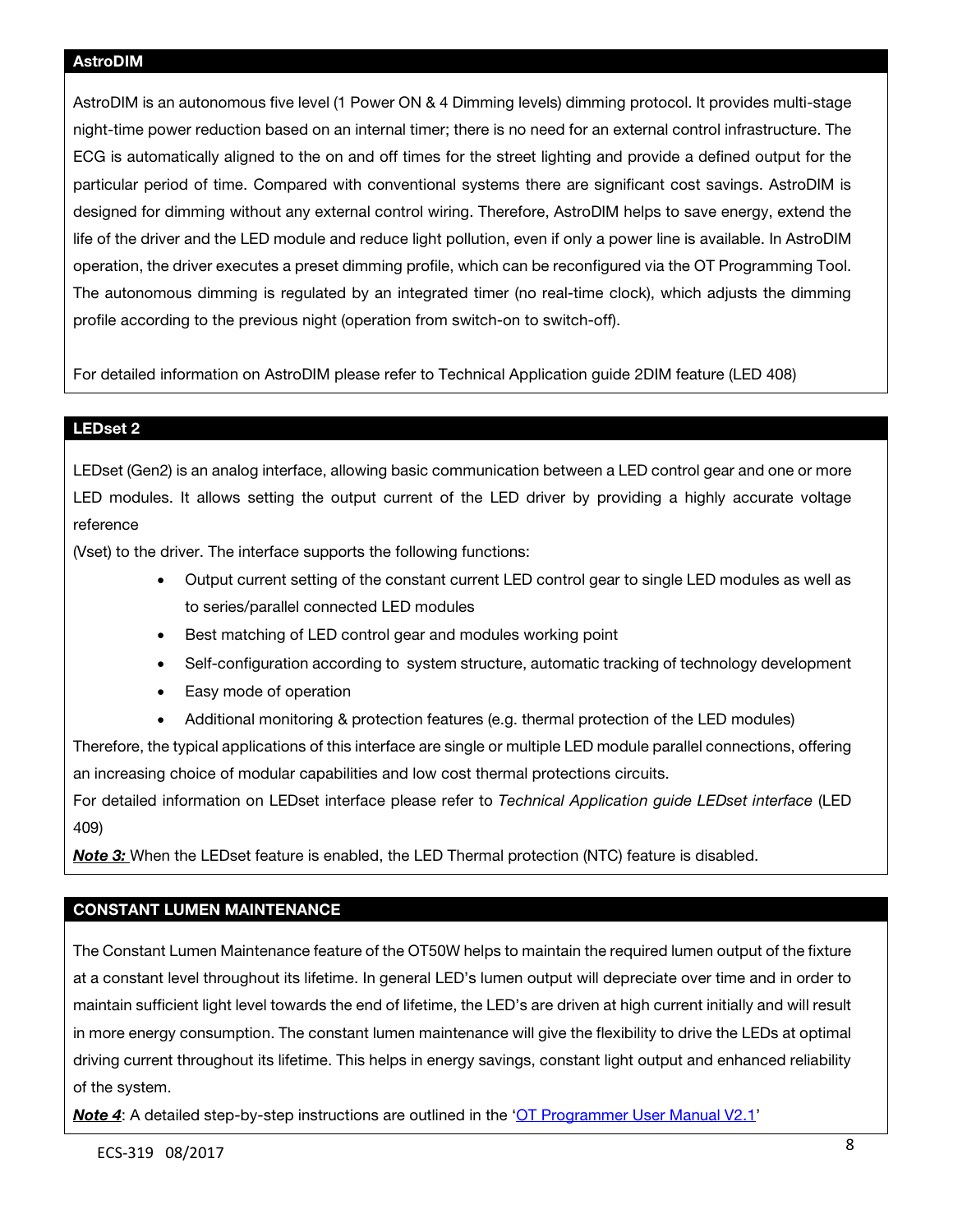AstroDIM is an autonomous five level (1 Power ON & 4 Dimming levels) dimming protocol. It provides multi-stage night-time power reduction based on an internal timer; there is no need for an external control infrastructure. The ECG is automatically aligned to the on and off times for the street lighting and provide a defined output for the particular period of time. Compared with conventional systems there are significant cost savings. AstroDIM is designed for dimming without any external control wiring. Therefore, AstroDIM helps to save energy, extend the life of the driver and the LED module and reduce light pollution, even if only a power line is available. In AstroDIM operation, the driver executes a preset dimming profile, which can be reconfigured via the OT Programming Tool. The autonomous dimming is regulated by an integrated timer (no real-time clock), which adjusts the dimming profile according to the previous night (operation from switch-on to switch-off).

For detailed information on AstroDIM please refer to Technical Application guide 2DIM feature (LED 408)

#### LEDset 2

LEDset (Gen2) is an analog interface, allowing basic communication between a LED control gear and one or more LED modules. It allows setting the output current of the LED driver by providing a highly accurate voltage reference

(Vset) to the driver. The interface supports the following functions:

- Output current setting of the constant current LED control gear to single LED modules as well as to series/parallel connected LED modules
- Best matching of LED control gear and modules working point
- Self-configuration according to system structure, automatic tracking of technology development
- Easy mode of operation
- Additional monitoring & protection features (e.g. thermal protection of the LED modules)

Therefore, the typical applications of this interface are single or multiple LED module parallel connections, offering an increasing choice of modular capabilities and low cost thermal protections circuits.

For detailed information on LEDset interface please refer to *Technical Application guide LEDset interface* (LED 409)

*Note 3:* When the LEDset feature is enabled, the LED Thermal protection (NTC) feature is disabled.

## CONSTANT LUMEN MAINTENANCE

The Constant Lumen Maintenance feature of the OT50W helps to maintain the required lumen output of the fixture at a constant level throughout its lifetime. In general LED's lumen output will depreciate over time and in order to maintain sufficient light level towards the end of lifetime, the LED's are driven at high current initially and will result in more energy consumption. The constant lumen maintenance will give the flexibility to drive the LEDs at optimal driving current throughout its lifetime. This helps in energy savings, constant light output and enhanced reliability of the system.

**Note 4:** A detailed step-by-step instructions are outlined in the ['OT Programmer User Manual V2.1'](https://assets.osram-americas.com/assets/Documents/User_manual_OT_Programmer.319fc81a-3246-4786-89a4-25ca9906b9a3.pdf)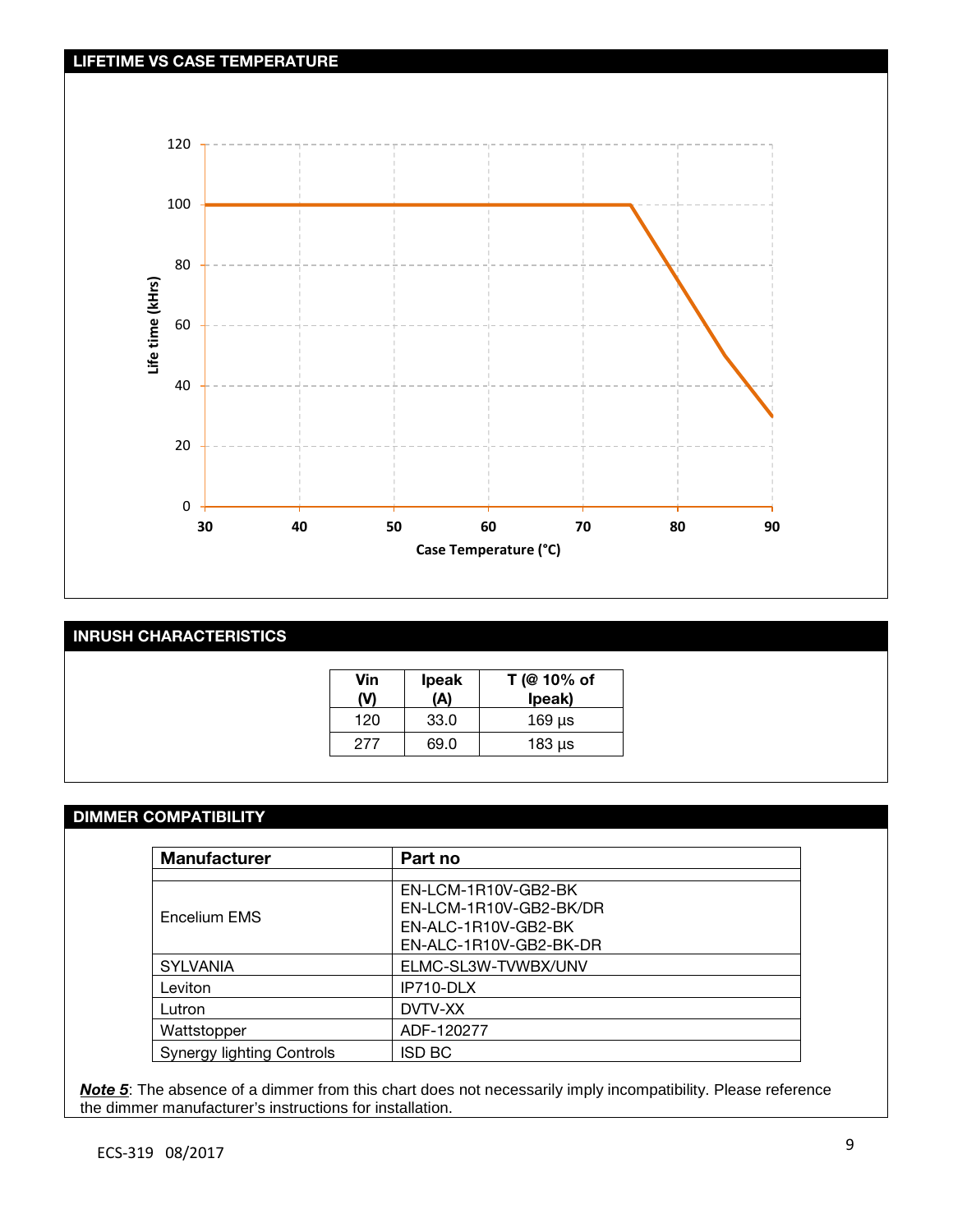

# INRUSH CHARACTERISTICS

| Vin | <b>Ipeak</b><br>(A) | T (@ 10% of<br>lpeak) |
|-----|---------------------|-----------------------|
| 120 | 33.0                | $169$ µs              |
| 277 | 69.0                | 183 µs                |

## DIMMER COMPATIBILITY

| <b>Manufacturer</b>              | Part no                                                                                        |  |
|----------------------------------|------------------------------------------------------------------------------------------------|--|
| Encelium EMS                     | EN-LCM-1R10V-GB2-BK<br>EN-LCM-1R10V-GB2-BK/DR<br>EN-ALC-1R10V-GB2-BK<br>EN-ALC-1R10V-GB2-BK-DR |  |
| <b>SYLVANIA</b>                  | ELMC-SL3W-TVWBX/UNV                                                                            |  |
| Leviton                          | IP710-DLX                                                                                      |  |
| Lutron                           | DVTV-XX                                                                                        |  |
| Wattstopper                      | ADF-120277                                                                                     |  |
| <b>Synergy lighting Controls</b> | <b>ISD BC</b>                                                                                  |  |

*Note 5*: The absence of a dimmer from this chart does not necessarily imply incompatibility. Please reference the dimmer manufacturer's instructions for installation.